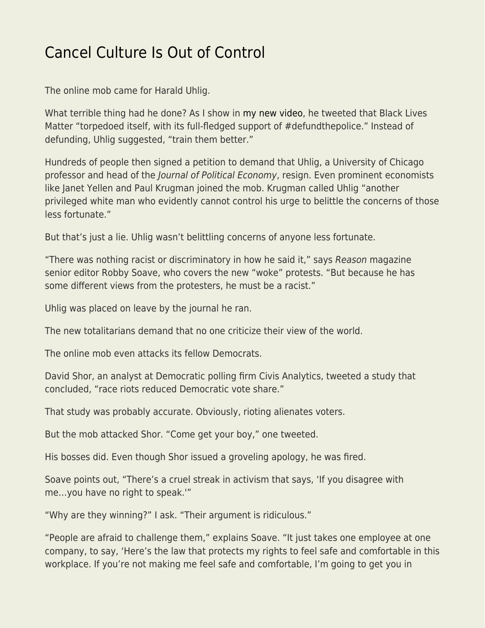## [Cancel Culture Is Out of Control](https://everything-voluntary.com/cancel-culture-is-out-of-control)

The online mob came for Harald Uhlig.

What terrible thing had he done? As I show in [my new video](https://www.youtube.com/watch?v=LtHf3VAz1cQ), he tweeted that Black Lives Matter "torpedoed itself, with its full-fledged support of #defundthepolice." Instead of defunding, Uhlig suggested, "train them better."

Hundreds of people then signed a petition to demand that Uhlig, a University of Chicago professor and head of the Journal of Political Economy, resign. Even prominent economists like Janet Yellen and Paul Krugman joined the mob. Krugman called Uhlig "another privileged white man who evidently cannot control his urge to belittle the concerns of those less fortunate."

But that's just a lie. Uhlig wasn't belittling concerns of anyone less fortunate.

"There was nothing racist or discriminatory in how he said it," says Reason magazine senior editor Robby Soave, who covers the new "woke" protests. "But because he has some different views from the protesters, he must be a racist."

Uhlig was placed on leave by the journal he ran.

The new totalitarians demand that no one criticize their view of the world.

The online mob even attacks its fellow Democrats.

David Shor, an analyst at Democratic polling firm Civis Analytics, tweeted a study that concluded, "race riots reduced Democratic vote share."

That study was probably accurate. Obviously, rioting alienates voters.

But the mob attacked Shor. "Come get your boy," one tweeted.

His bosses did. Even though Shor issued a groveling apology, he was fired.

Soave points out, "There's a cruel streak in activism that says, 'If you disagree with me…you have no right to speak.'"

"Why are they winning?" I ask. "Their argument is ridiculous."

"People are afraid to challenge them," explains Soave. "It just takes one employee at one company, to say, 'Here's the law that protects my rights to feel safe and comfortable in this workplace. If you're not making me feel safe and comfortable, I'm going to get you in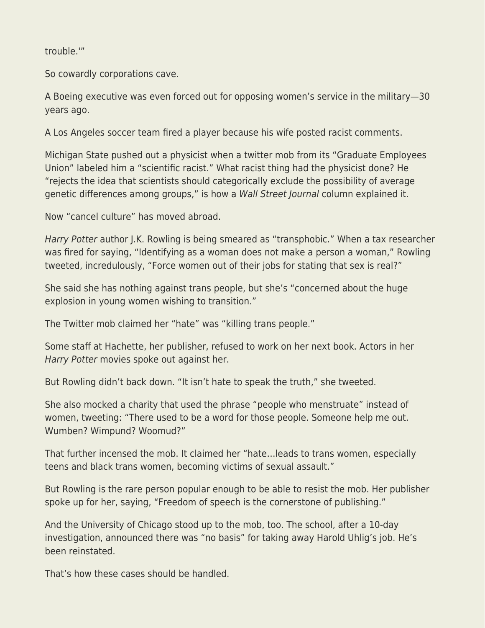trouble.'"

So cowardly corporations cave.

A Boeing executive was even forced out for opposing women's service in the military—30 years ago.

A Los Angeles soccer team fired a player because his wife posted racist comments.

Michigan State pushed out a physicist when a twitter mob from its "Graduate Employees Union" labeled him a "scientific racist." What racist thing had the physicist done? He "rejects the idea that scientists should categorically exclude the possibility of average genetic differences among groups," is how a Wall Street Journal column explained it.

Now "cancel culture" has moved abroad.

Harry Potter author J.K. Rowling is being smeared as "transphobic." When a tax researcher was fired for saying, "Identifying as a woman does not make a person a woman," Rowling tweeted, incredulously, "Force women out of their jobs for stating that sex is real?"

She said she has nothing against trans people, but she's "concerned about the huge explosion in young women wishing to transition."

The Twitter mob claimed her "hate" was "killing trans people."

Some staff at Hachette, her publisher, refused to work on her next book. Actors in her Harry Potter movies spoke out against her.

But Rowling didn't back down. "It isn't hate to speak the truth," she tweeted.

She also mocked a charity that used the phrase "people who menstruate" instead of women, tweeting: "There used to be a word for those people. Someone help me out. Wumben? Wimpund? Woomud?"

That further incensed the mob. It claimed her "hate…leads to trans women, especially teens and black trans women, becoming victims of sexual assault."

But Rowling is the rare person popular enough to be able to resist the mob. Her publisher spoke up for her, saying, "Freedom of speech is the cornerstone of publishing."

And the University of Chicago stood up to the mob, too. The school, after a 10-day investigation, announced there was "no basis" for taking away Harold Uhlig's job. He's been reinstated.

That's how these cases should be handled.